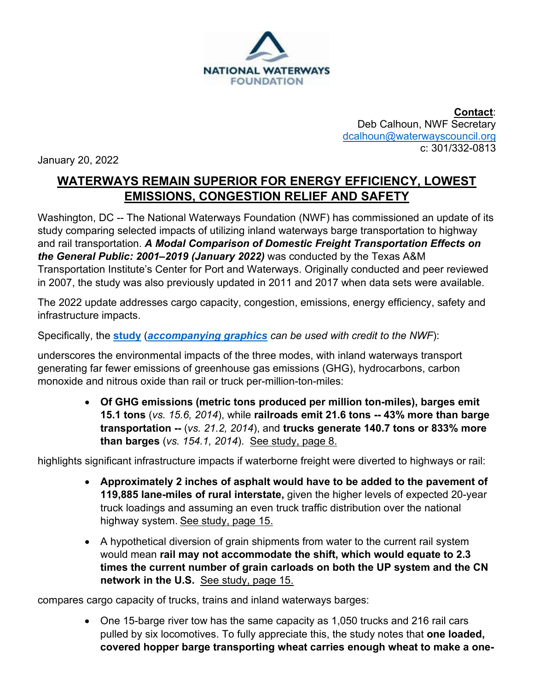

**Contact**: Deb Calhoun, NWF Secretary [dcalhoun@waterwayscouncil.org](mailto:dcalhoun@waterwayscouncil.org) c: 301/332-0813

January 20, 2022

## **WATERWAYS REMAIN SUPERIOR FOR ENERGY EFFICIENCY, LOWEST EMISSIONS, CONGESTION RELIEF AND SAFETY**

Washington, DC -- The National Waterways Foundation (NWF) has commissioned an update of its study comparing selected impacts of utilizing inland waterways barge transportation to highway and rail transportation. *A Modal Comparison of Domestic Freight Transportation Effects on the General Public: 2001–2019 (January 2022)* was conducted by the Texas A&M Transportation Institute's Center for Port and Waterways. Originally conducted and peer reviewed in 2007, the study was also previously updated in 2011 and 2017 when data sets were available.

The 2022 update addresses cargo capacity, congestion, emissions, energy efficiency, safety and infrastructure impacts.

Specifically, the **[study](http://www.nationalwaterwaysfoundation.org/study/TTI%202022%20FINAL%20Report%202001-2019%20(1).pdf)** (*[accompanying graphics](http://www.nationalwaterwaysfoundation.org/study/NWF%202022NewStudyInserts_FINAL.pdf) can be used with credit to the NWF*):

underscores the environmental impacts of the three modes, with inland waterways transport generating far fewer emissions of greenhouse gas emissions (GHG), hydrocarbons, carbon monoxide and nitrous oxide than rail or truck per-million-ton-miles:

> • **Of GHG emissions (metric tons produced per million ton-miles), barges emit 15.1 tons** (*vs. 15.6, 2014*), while **railroads emit 21.6 tons -- 43% more than barge transportation --** (*vs. 21.2, 2014*), and **trucks generate 140.7 tons or 833% more than barges** (*vs. 154.1, 2014*). See study, page 8.

highlights significant infrastructure impacts if waterborne freight were diverted to highways or rail:

- **Approximately 2 inches of asphalt would have to be added to the pavement of 119,885 lane-miles of rural interstate,** given the higher levels of expected 20-year truck loadings and assuming an even truck traffic distribution over the national highway system. See study, page 15.
- A hypothetical diversion of grain shipments from water to the current rail system would mean **rail may not accommodate the shift, which would equate to 2.3 times the current number of grain carloads on both the UP system and the CN network in the U.S.** See study, page 15.

compares cargo capacity of trucks, trains and inland waterways barges:

• One 15-barge river tow has the same capacity as 1,050 trucks and 216 rail cars pulled by six locomotives. To fully appreciate this, the study notes that **one loaded, covered hopper barge transporting wheat carries enough wheat to make a one-**